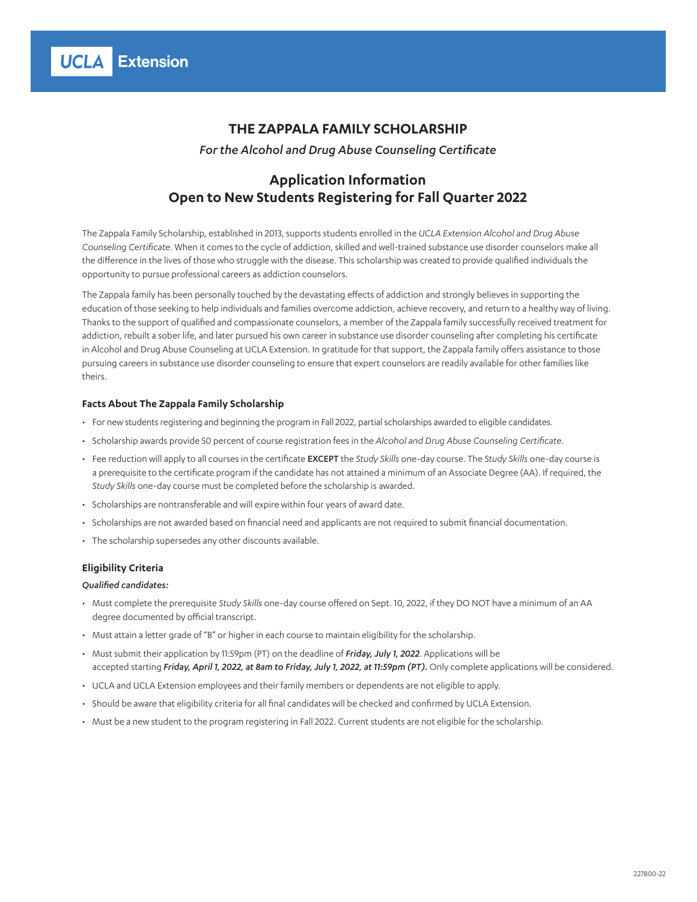*For the Alcohol and Drug Abuse Counseling Certificate*

# **Application Information Open to New Students Registering for Fall Quarter 2022**

The Zappala Family Scholarship, established in 2013, supports students enrolled in the *UCLA Extension Alcohol and Drug Abuse Counseling Certificate*. When it comes to the cycle of addiction, skilled and well-trained substance use disorder counselors make all the difference in the lives of those who struggle with the disease. This scholarship was created to provide qualified individuals the opportunity to pursue professional careers as addiction counselors.

The Zappala family has been personally touched by the devastating effects of addiction and strongly believes in supporting the education of those seeking to help individuals and families overcome addiction, achieve recovery, and return to a healthy way of living. Thanks to the support of qualified and compassionate counselors, a member of the Zappala family successfully received treatment for addiction, rebuilt a sober life, and later pursued his own career in substance use disorder counseling after completing his certificate in Alcohol and Drug Abuse Counseling at UCLA Extension. In gratitude for that support, the Zappala family offers assistance to those pursuing careers in substance use disorder counseling to ensure that expert counselors are readily available for other families like theirs.

### **Facts About The Zappala Family Scholarship**

- For new students registering and beginning the program in Fall 2022, partial scholarships awarded to eligible candidates.
- Scholarship awards provide 50 percent of course registration fees in the *Alcohol and Drug Abuse Counseling Certificate*.
- Fee reduction will apply to all courses in the certificate EXCEPT the *Study Skills* one-day course. The *Study Skills* one-day course is a prerequisite to the certificate program if the candidate has not attained a minimum of an Associate Degree (AA). If required, the *Study Skills* one-day course must be completed before the scholarship is awarded.
- Scholarships are nontransferable and will expire within four years of award date.
- Scholarships are not awarded based on financial need and applicants are not required to submit financial documentation.
- The scholarship supersedes any other discounts available.

### **Eligibility Criteria**

### *Qualified candidates:*

- Must complete the prerequisite *Study Skills* one-day course offered on Sept. 10, 2022, if they DO NOT have a minimum of an AA degree documented by official transcript.
- Must attain a letter grade of "B" or higher in each course to maintain eligibility for the scholarship.
- Must submit their application by 11:59pm (PT) on the deadline of *Friday, July 1, 2022*. Applications will be accepted starting *Friday, April 1, 2022, at 8am to Friday, July 1, 2022, at 11:59pm (PT).* Only complete applications will be considered.
- UCLA and UCLA Extension employees and their family members or dependents are not eligible to apply.
- Should be aware that eligibility criteria for all final candidates will be checked and confirmed by UCLA Extension.
- Must be a new student to the program registering in Fall 2022. Current students are not eligible for the scholarship.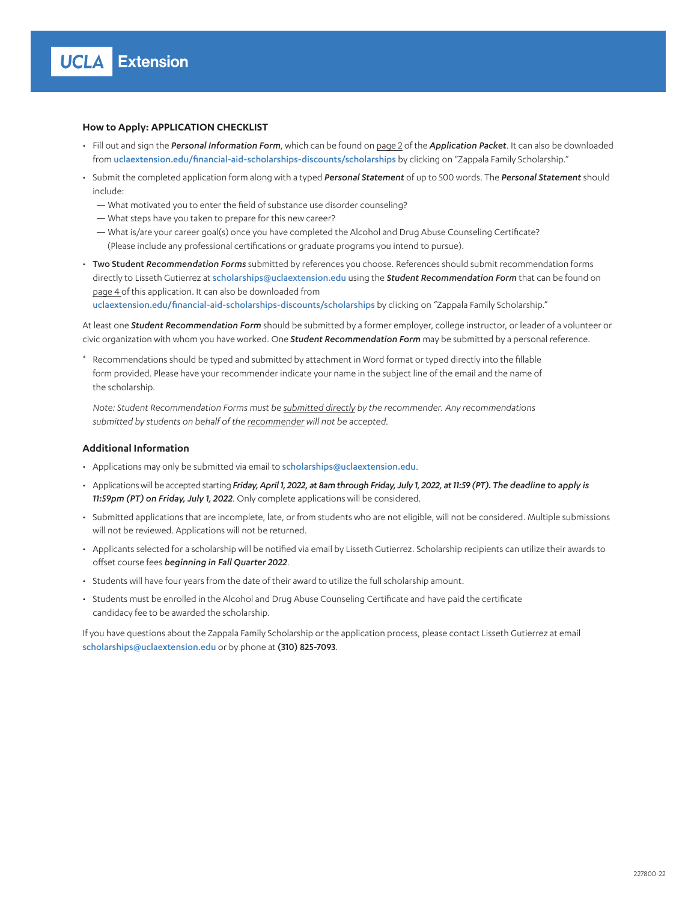## **How to Apply: APPLICATION CHECKLIST**

- Fill out and sign the *Personal Information Form*, which can be found on page 2 of the *Application Packet*. It can also be downloaded from [uclaextension.edu/financial-aid-scholarships-discounts/scholarships](https://www.uclaextension.edu/financial-aid-scholarships-discounts/scholarships) by clicking on "Zappala Family Scholarship."
- Submit the completed application form along with a typed *Personal Statement* of up to 500 words. The *Personal Statement* should include:
	- What motivated you to enter the field of substance use disorder counseling?
	- What steps have you taken to prepare for this new career?
	- What is/are your career goal(s) once you have completed the Alcohol and Drug Abuse Counseling Certificate? (Please include any professional certifications or graduate programs you intend to pursue).
- Two Student *Recommendation Forms* submitted by references you choose. References should submit recommendation forms directly to Lisseth Gutierrez at [scholarships@uclaextension.edu](mailto:scholarships@uclaextension.edu) using the *Student Recommendation Form* that can be found on page 4 of this application. It can also be downloaded from

[uclaextension.edu/financial-aid-scholarships-discounts/scholarships](http://www.uclaextension.edu/financial-aid-scholarships-discounts/scholarships) by clicking on "Zappala Family Scholarship."

At least one *Student Recommendation Form* should be submitted by a former employer, college instructor, or leader of a volunteer or civic organization with whom you have worked. One *Student Recommendation Form* may be submitted by a personal reference.

\* Recommendations should be typed and submitted by attachment in Word format or typed directly into the fillable form provided. Please have your recommender indicate your name in the subject line of the email and the name of the scholarship.

*Note: Student Recommendation Forms must be submitted directly by the recommender. Any recommendations submitted by students on behalf of the recommender will not be accepted.*

### **Additional Information**

- Applications may only be submitted via email to [scholarships@uclaextension.edu](mailto:scholarships%40uclaextension.edu?subject=).
- Applications will be accepted starting *Friday, April 1, 2022, at 8am through Friday, July 1, 2022, at 11:59 (PT). The deadline to apply is 11:59pm (PT) on Friday, July 1, 2022*. Only complete applications will be considered.
- Submitted applications that are incomplete, late, or from students who are not eligible, will not be considered. Multiple submissions will not be reviewed. Applications will not be returned.
- Applicants selected for a scholarship will be notified via email by Lisseth Gutierrez. Scholarship recipients can utilize their awards to offset course fees *beginning in Fall Quarter 2022*.
- Students will have four years from the date of their award to utilize the full scholarship amount.
- Students must be enrolled in the Alcohol and Drug Abuse Counseling Certificate and have paid the certificate candidacy fee to be awarded the scholarship.

If you have questions about the Zappala Family Scholarship or the application process, please contact Lisseth Gutierrez at email scho[larships@uclaextension.edu](mailto:scholarships%40uclaextension.edu?subject=) or by phone at (310) 825-7093.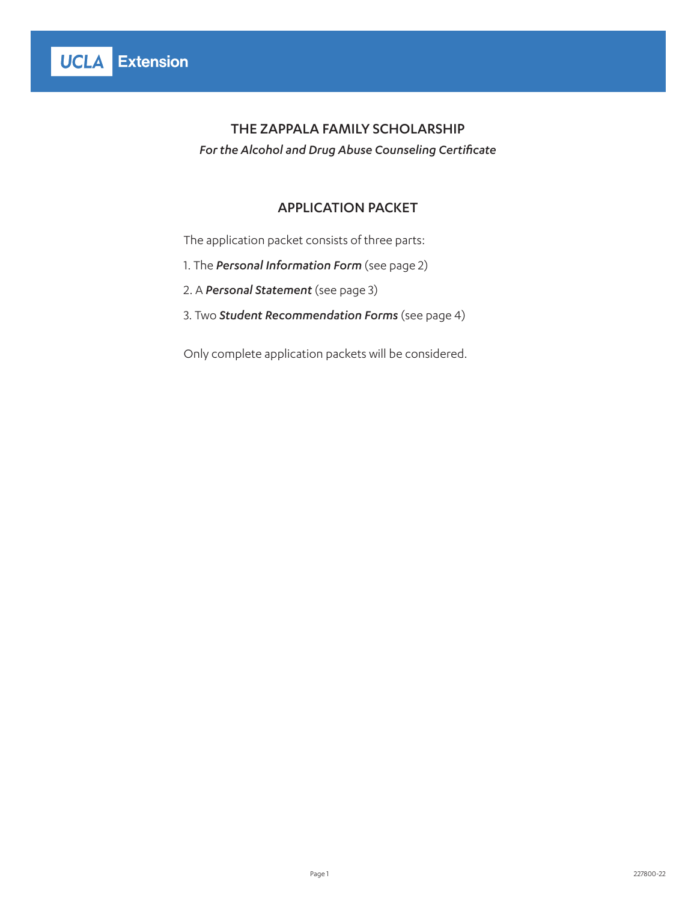*For the Alcohol and Drug Abuse Counseling Certificate*

## APPLICATION PACKET

The application packet consists of three parts:

- 1. The *Personal Information Form* (see page 2)
- 2. A *Personal Statement* (see page 3)
- 3. Two *Student Recommendation Forms* (see page 4)

Only complete application packets will be considered.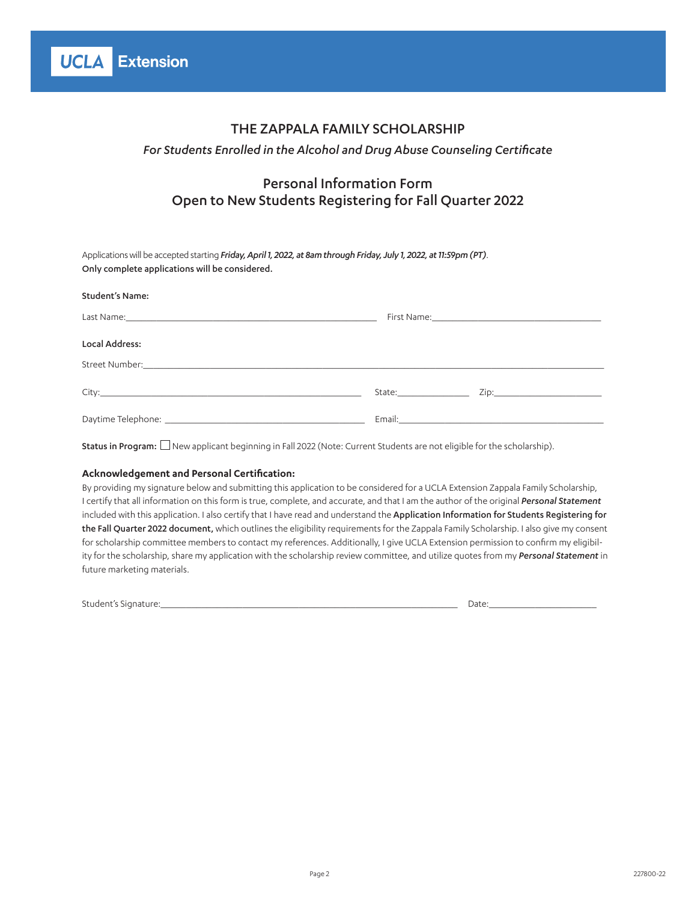## *For Students Enrolled in the Alcohol and Drug Abuse Counseling Certificate*

# Personal Information Form Open to New Students Registering for Fall Quarter 2022

Applications will be accepted starting *Friday, April 1, 2022, at 8am through Friday, July 1, 2022, at 11:59pm (PT)*. Only complete applications will be considered.

| <b>Student's Name:</b> |                                                                                                                                                                                                                                |                                                                                                                                                                                                                                |
|------------------------|--------------------------------------------------------------------------------------------------------------------------------------------------------------------------------------------------------------------------------|--------------------------------------------------------------------------------------------------------------------------------------------------------------------------------------------------------------------------------|
|                        | First Name: No. 2008. The Second State of the Second State of the Second State of the Second State of the Second State of the Second State of the Second State of the Second State of the Second State of the Second State of  |                                                                                                                                                                                                                                |
| Local Address:         |                                                                                                                                                                                                                                |                                                                                                                                                                                                                                |
|                        |                                                                                                                                                                                                                                |                                                                                                                                                                                                                                |
|                        | State: and the state of the state of the state of the state of the state of the state of the state of the state of the state of the state of the state of the state of the state of the state of the state of the state of the | Zip: The Company of the Company of the Company of the Company of the Company of the Company of the Company of the Company of the Company of the Company of the Company of the Company of the Company of the Company of the Com |
|                        |                                                                                                                                                                                                                                |                                                                                                                                                                                                                                |

Status in Program:  $\Box$  New applicant beginning in Fall 2022 (Note: Current Students are not eligible for the scholarship).

### **Acknowledgement and Personal Certification:**

By providing my signature below and submitting this application to be considered for a UCLA Extension Zappala Family Scholarship, I certify that all information on this form is true, complete, and accurate, and that I am the author of the original *Personal Statement* included with this application. I also certify that I have read and understand the Application Information for Students Registering for the Fall Quarter 2022 document, which outlines the eligibility requirements for the Zappala Family Scholarship. I also give my consent for scholarship committee members to contact my references. Additionally, I give UCLA Extension permission to confirm my eligibility for the scholarship, share my application with the scholarship review committee, and utilize quotes from my *Personal Statement* in future marketing materials.

Student's Signature:\_\_\_\_\_\_\_\_\_\_\_\_\_\_\_\_\_\_\_\_\_\_\_\_\_\_\_\_\_\_\_\_\_\_\_\_\_\_\_\_\_\_\_\_\_\_\_\_\_\_\_\_\_\_\_\_\_\_ Date:\_\_\_\_\_\_\_\_\_\_\_\_\_\_\_\_\_\_\_\_\_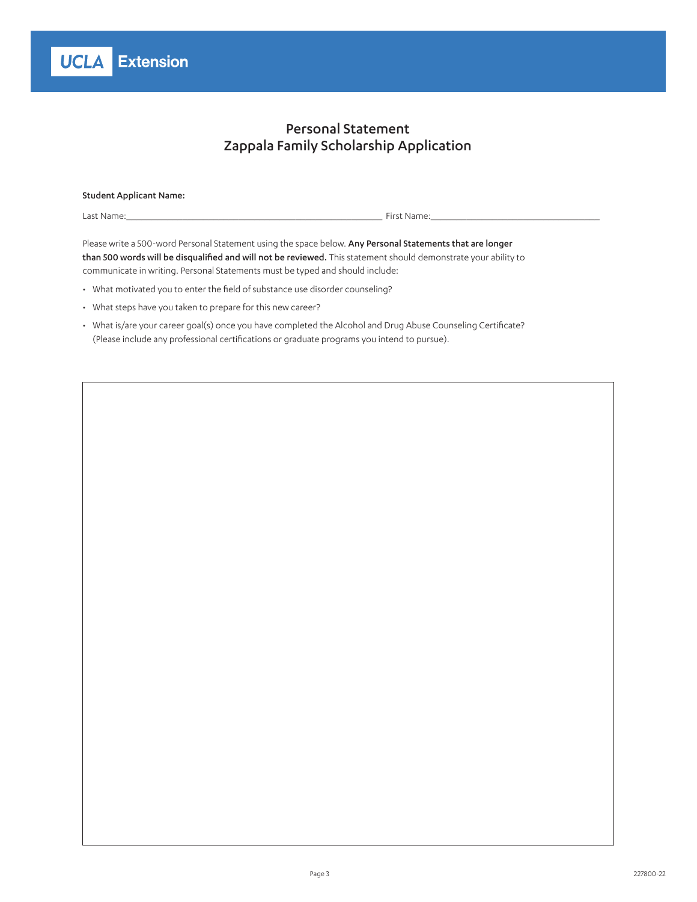# Personal Statement Zappala Family Scholarship Application

| <b>Student Applicant Name:</b> |             |
|--------------------------------|-------------|
| Last Name:                     | First Name: |

Please write a 500-word Personal Statement using the space below. Any Personal Statements that are longer than 500 words will be disqualified and will not be reviewed. This statement should demonstrate your ability to communicate in writing. Personal Statements must be typed and should include:

- What motivated you to enter the field of substance use disorder counseling?
- What steps have you taken to prepare for this new career?
- What is/are your career goal(s) once you have completed the Alcohol and Drug Abuse Counseling Certificate? (Please include any professional certifications or graduate programs you intend to pursue).